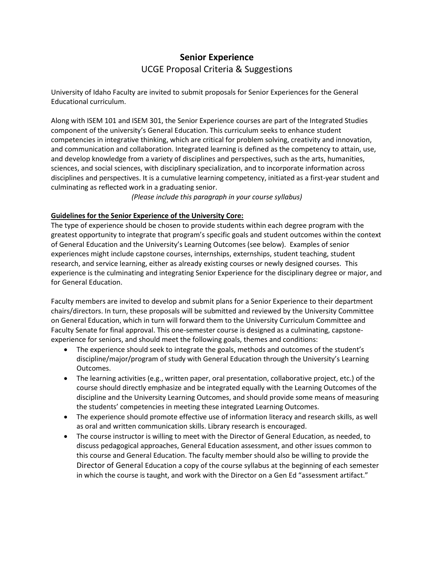## **Senior Experience** UCGE Proposal Criteria & Suggestions

University of Idaho Faculty are invited to submit proposals for Senior Experiences for the General Educational curriculum.

Along with ISEM 101 and ISEM 301, the Senior Experience courses are part of the Integrated Studies component of the university's General Education. This curriculum seeks to enhance student competencies in integrative thinking, which are critical for problem solving, creativity and innovation, and communication and collaboration. Integrated learning is defined as the competency to attain, use, and develop knowledge from a variety of disciplines and perspectives, such as the arts, humanities, sciences, and social sciences, with disciplinary specialization, and to incorporate information across disciplines and perspectives. It is a cumulative learning competency, initiated as a first-year student and culminating as reflected work in a graduating senior.

*(Please include this paragraph in your course syllabus)*

## **Guidelines for the Senior Experience of the University Core:**

The type of experience should be chosen to provide students within each degree program with the greatest opportunity to integrate that program's specific goals and student outcomes within the context of General Education and the University's Learning Outcomes (see below). Examples of senior experiences might include capstone courses, internships, externships, student teaching, student research, and service learning, either as already existing courses or newly designed courses. This experience is the culminating and integrating Senior Experience for the disciplinary degree or major, and for General Education.

Faculty members are invited to develop and submit plans for a Senior Experience to their department chairs/directors. In turn, these proposals will be submitted and reviewed by the University Committee on General Education, which in turn will forward them to the University Curriculum Committee and Faculty Senate for final approval. This one-semester course is designed as a culminating, capstoneexperience for seniors, and should meet the following goals, themes and conditions:

- The experience should seek to integrate the goals, methods and outcomes of the student's discipline/major/program of study with General Education through the University's Learning Outcomes.
- The learning activities (e.g., written paper, oral presentation, collaborative project, etc.) of the course should directly emphasize and be integrated equally with the Learning Outcomes of the discipline and the University Learning Outcomes, and should provide some means of measuring the students' competencies in meeting these integrated Learning Outcomes.
- The experience should promote effective use of information literacy and research skills, as well as oral and written communication skills. Library research is encouraged.
- The course instructor is willing to meet with the Director of General Education, as needed, to discuss pedagogical approaches, General Education assessment, and other issues common to this course and General Education. The faculty member should also be willing to provide the Director of General Education a copy of the course syllabus at the beginning of each semester in which the course is taught, and work with the Director on a Gen Ed "assessment artifact."